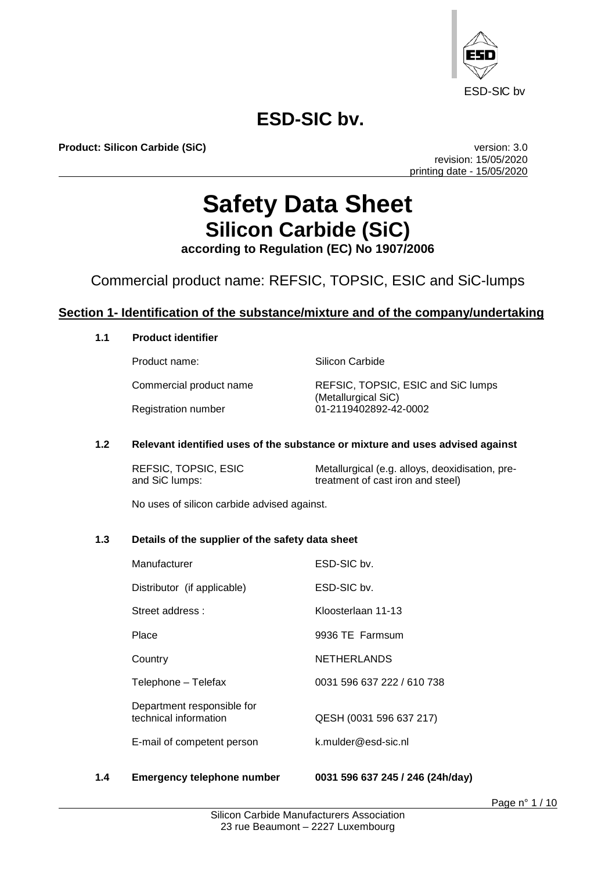

**Product: Silicon Carbide (SiC) version: 3.0** 

revision: 15/05/2020 printing date - 15/05/2020

# **Safety Data Sheet Silicon Carbide (SiC)**

**according to Regulation (EC) No 1907/2006**

## Commercial product name: REFSIC, TOPSIC, ESIC and SiC-lumps

## **Section 1- Identification of the substance/mixture and of the company/undertaking**

### **1.1 Product identifier**

Product name: Silicon Carbide

Commercial product name REFSIC, TOPSIC, ESIC and SiC lumps (Metallurgical SiC) Registration number 01-2119402892-42-0002

#### **1.2 Relevant identified uses of the substance or mixture and uses advised against**

REFSIC, TOPSIC, ESIC<br>
and SiC lumps: exameter of cast iron and steel)<br>  $\frac{1}{2}$  and SiC lumps: treatment of cast iron and steel)

No uses of silicon carbide advised against.

#### **1.3 Details of the supplier of the safety data sheet**

| Manufacturer                                        | ESD-SIC bv.                |
|-----------------------------------------------------|----------------------------|
| Distributor (if applicable)                         | ESD-SIC by.                |
| Street address:                                     | Kloosterlaan 11-13         |
| Place                                               | 9936 TE Farmsum            |
| Country                                             | <b>NETHERLANDS</b>         |
| Telephone - Telefax                                 | 0031 596 637 222 / 610 738 |
| Department responsible for<br>technical information | QESH (0031 596 637 217)    |
| E-mail of competent person                          | k.mulder@esd-sic.nl        |
|                                                     |                            |

#### **1.4 Emergency telephone number 0031 596 637 245 / 246 (24h/day)**

Page n° 1 / 10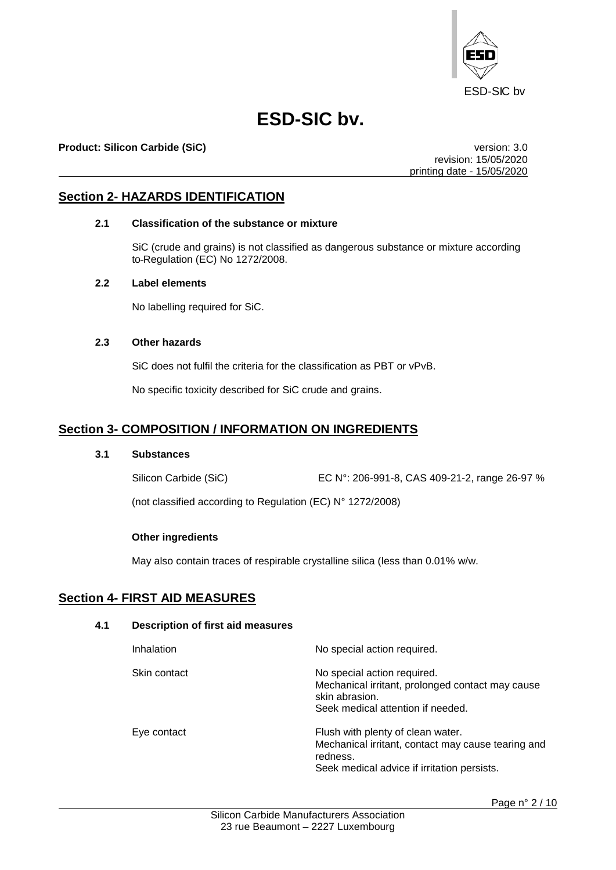

#### **Product: Silicon Carbide (SiC)** version: 3.0

revision: 15/05/2020 printing date - 15/05/2020

### **Section 2- HAZARDS IDENTIFICATION**

#### **2.1 Classification of the substance or mixture**

SiC (crude and grains) is not classified as dangerous substance or mixture according to Regulation (EC) No 1272/2008.

#### **2.2 Label elements**

No labelling required for SiC.

#### **2.3 Other hazards**

SiC does not fulfil the criteria for the classification as PBT or vPvB.

No specific toxicity described for SiC crude and grains.

## **Section 3- COMPOSITION / INFORMATION ON INGREDIENTS**

#### **3.1 Substances**

Silicon Carbide (SiC) EC N°: 206-991-8, CAS 409-21-2, range 26-97 %

(not classified according to Regulation (EC) N° 1272/2008)

#### **Other ingredients**

May also contain traces of respirable crystalline silica (less than 0.01% w/w.

## **Section 4- FIRST AID MEASURES**

### **4.1 Description of first aid measures**

| Inhalation   | No special action required.                                                                                                            |
|--------------|----------------------------------------------------------------------------------------------------------------------------------------|
| Skin contact | No special action required.<br>Mechanical irritant, prolonged contact may cause<br>skin abrasion.<br>Seek medical attention if needed. |
| Eye contact  | Flush with plenty of clean water.<br>Mechanical irritant, contact may cause tearing and<br>redness.                                    |

Seek medical advice if irritation persists.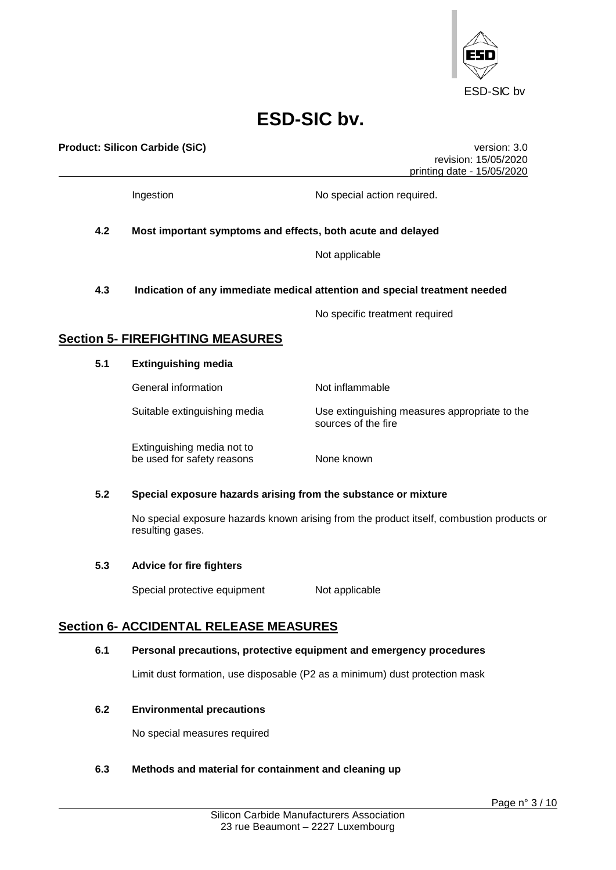

**Product: Silicon Carbide (SiC)** version: 3.0 revision: 15/05/2020 printing date - 15/05/2020 Ingestion **No special action required. 4.2 Most important symptoms and effects, both acute and delayed** Not applicable **4.3 Indication of any immediate medical attention and special treatment needed** No specific treatment required **Section 5- FIREFIGHTING MEASURES 5.1 Extinguishing media** General information Not inflammable Suitable extinguishing media Use extinguishing measures appropriate to the sources of the fire Extinguishing media not to be used for safety reasons None known **5.2 Special exposure hazards arising from the substance or mixture**  No special exposure hazards known arising from the product itself, combustion products or resulting gases. **5.3 Advice for fire fighters** Special protective equipment Not applicable **Section 6- ACCIDENTAL RELEASE MEASURES 6.1 Personal precautions, protective equipment and emergency procedures** Limit dust formation, use disposable (P2 as a minimum) dust protection mask

#### **6.2 Environmental precautions**

No special measures required

#### **6.3 Methods and material for containment and cleaning up**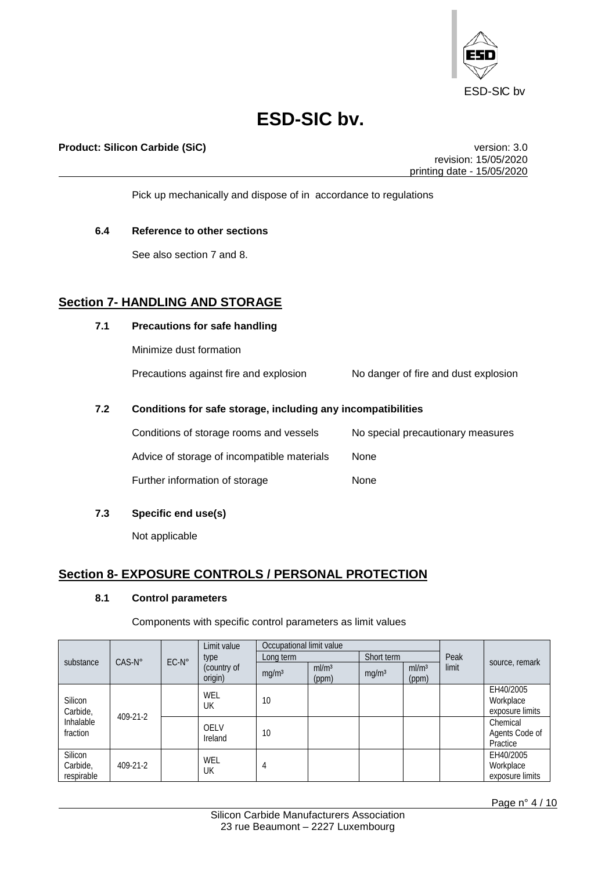

### **Product: Silicon Carbide (SiC) version: 3.0**

revision: 15/05/2020 printing date - 15/05/2020

Pick up mechanically and dispose of in accordance to regulations

#### **6.4 Reference to other sections**

See also section 7 and 8.

## **Section 7- HANDLING AND STORAGE**

### **7.1 Precautions for safe handling**

Minimize dust formation

Precautions against fire and explosion No danger of fire and dust explosion

### **7.2 Conditions for safe storage, including any incompatibilities**

| Conditions of storage rooms and vessels     | No special precautionary measures |
|---------------------------------------------|-----------------------------------|
| Advice of storage of incompatible materials | <b>None</b>                       |
| Further information of storage              | None                              |

### **7.3 Specific end use(s)**

Not applicable

## **Section 8- EXPOSURE CONTROLS / PERSONAL PROTECTION**

#### **8.1 Control parameters**

Components with specific control parameters as limit values

|            |                 |                | Limit value            | Occupational limit value |                            |                   |                            |       |                 |
|------------|-----------------|----------------|------------------------|--------------------------|----------------------------|-------------------|----------------------------|-------|-----------------|
| substance  | $CAS-N^{\circ}$ | $EC-N^{\circ}$ | type                   | Long term                |                            | Short term        |                            | Peak  | source, remark  |
|            |                 |                | (country of<br>origin) | mg/m <sup>3</sup>        | ml/m <sup>3</sup><br>(ppm) | mg/m <sup>3</sup> | ml/m <sup>3</sup><br>(ppm) | limit |                 |
|            |                 |                | WEL                    |                          |                            |                   |                            |       | EH40/2005       |
| Silicon    |                 |                | UK                     | 10                       |                            |                   |                            |       | Workplace       |
| Carbide,   | 409-21-2        |                |                        |                          |                            |                   |                            |       | exposure limits |
| Inhalable  |                 |                | <b>OELV</b>            |                          |                            |                   |                            |       | Chemical        |
| fraction   |                 |                | Ireland                | 10                       |                            |                   |                            |       | Agents Code of  |
|            |                 |                |                        |                          |                            |                   |                            |       | Practice        |
| Silicon    |                 |                | WEL                    |                          |                            |                   |                            |       | EH40/2005       |
| Carbide,   | 409-21-2        |                | UK                     | 4                        |                            |                   |                            |       | Workplace       |
| respirable |                 |                |                        |                          |                            |                   |                            |       | exposure limits |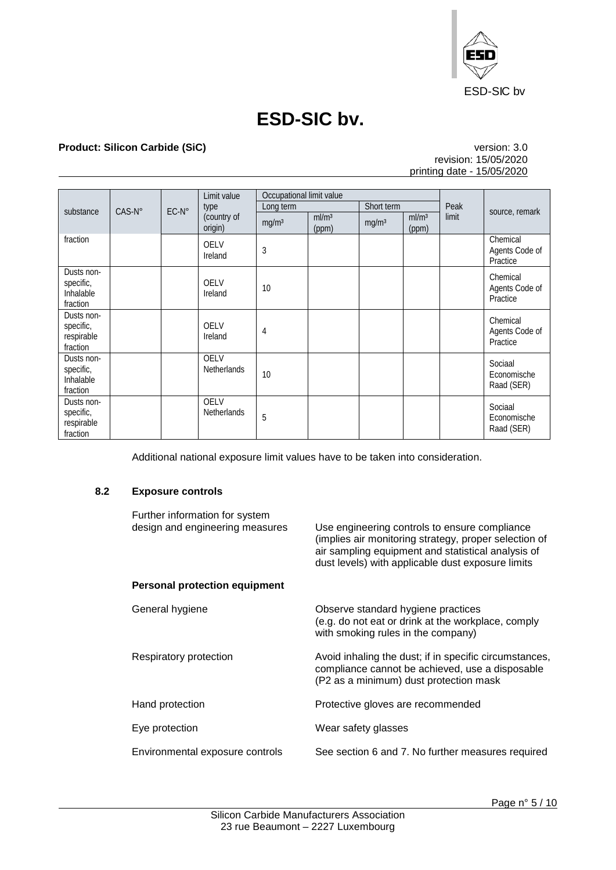

## **Product: Silicon Carbide (SiC)** version: 3.0

## revision: 15/05/2020 printing date - 15/05/2020

|                                                   |                 |                | Limit value                       | Occupational limit value |                   |                   |                   |               |                                        |
|---------------------------------------------------|-----------------|----------------|-----------------------------------|--------------------------|-------------------|-------------------|-------------------|---------------|----------------------------------------|
| substance                                         | $CAS-N^{\circ}$ | $EC-N^{\circ}$ | type<br>(country of               | Long term                | ml/m <sup>3</sup> | Short term        | ml/m <sup>3</sup> | Peak<br>limit | source, remark                         |
|                                                   |                 |                | origin)                           | mg/m <sup>3</sup>        | (ppm)             | mg/m <sup>3</sup> | (ppm)             |               |                                        |
| fraction                                          |                 |                | <b>OELV</b><br>Ireland            | 3                        |                   |                   |                   |               | Chemical<br>Agents Code of<br>Practice |
| Dusts non-<br>specific,<br>Inhalable<br>fraction  |                 |                | <b>OELV</b><br>Ireland            | 10                       |                   |                   |                   |               | Chemical<br>Agents Code of<br>Practice |
| Dusts non-<br>specific,<br>respirable<br>fraction |                 |                | <b>OELV</b><br>Ireland            | 4                        |                   |                   |                   |               | Chemical<br>Agents Code of<br>Practice |
| Dusts non-<br>specific,<br>Inhalable<br>fraction  |                 |                | <b>OELV</b><br>Netherlands        | 10                       |                   |                   |                   |               | Sociaal<br>Economische<br>Raad (SER)   |
| Dusts non-<br>specific,<br>respirable<br>fraction |                 |                | <b>OELV</b><br><b>Netherlands</b> | 5                        |                   |                   |                   |               | Sociaal<br>Economische<br>Raad (SER)   |

Additional national exposure limit values have to be taken into consideration.

#### **8.2 Exposure controls**

| Further information for system<br>design and engineering measures | Use engineering controls to ensure compliance<br>(implies air monitoring strategy, proper selection of<br>air sampling equipment and statistical analysis of<br>dust levels) with applicable dust exposure limits |
|-------------------------------------------------------------------|-------------------------------------------------------------------------------------------------------------------------------------------------------------------------------------------------------------------|
| <b>Personal protection equipment</b>                              |                                                                                                                                                                                                                   |
| General hygiene                                                   | Observe standard hygiene practices<br>(e.g. do not eat or drink at the workplace, comply<br>with smoking rules in the company)                                                                                    |
| Respiratory protection                                            | Avoid inhaling the dust; if in specific circumstances,<br>compliance cannot be achieved, use a disposable<br>(P2 as a minimum) dust protection mask                                                               |
| Hand protection                                                   | Protective gloves are recommended                                                                                                                                                                                 |
| Eye protection                                                    | Wear safety glasses                                                                                                                                                                                               |
| Environmental exposure controls                                   | See section 6 and 7. No further measures required                                                                                                                                                                 |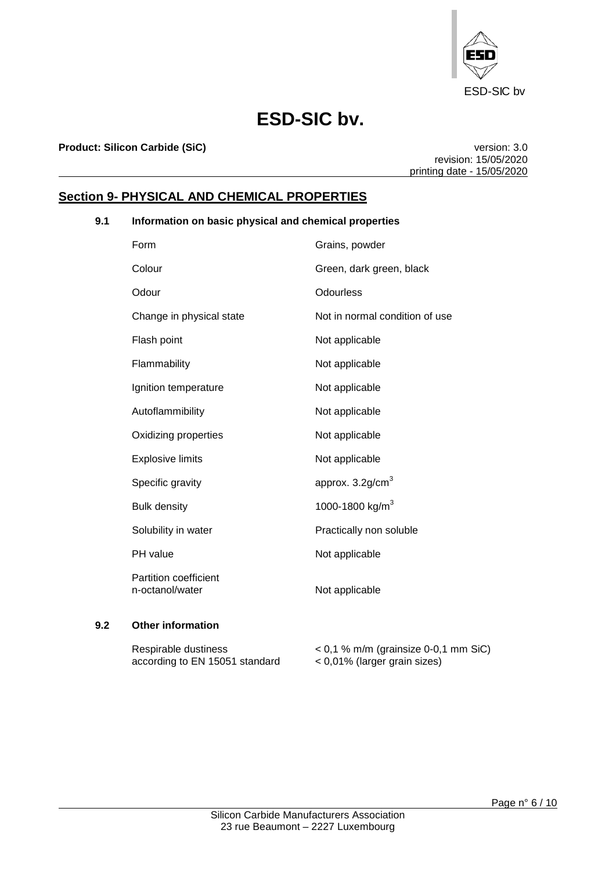

**Product: Silicon Carbide (SiC) version: 3.0** 

revision: 15/05/2020 printing date - 15/05/2020

## **Section 9- PHYSICAL AND CHEMICAL PROPERTIES**

## **9.1 Information on basic physical and chemical properties**

| Form                                            | Grains, powder                 |
|-------------------------------------------------|--------------------------------|
| Colour                                          | Green, dark green, black       |
| Odour                                           | <b>Odourless</b>               |
| Change in physical state                        | Not in normal condition of use |
| Flash point                                     | Not applicable                 |
| Flammability                                    | Not applicable                 |
| Ignition temperature                            | Not applicable                 |
| Autoflammibility                                | Not applicable                 |
| Oxidizing properties                            | Not applicable                 |
| <b>Explosive limits</b>                         | Not applicable                 |
| Specific gravity                                | approx. $3.2$ g/cm $3$         |
| <b>Bulk density</b>                             | 1000-1800 kg/m <sup>3</sup>    |
| Solubility in water                             | Practically non soluble        |
| PH value                                        | Not applicable                 |
| <b>Partition coefficient</b><br>n-octanol/water | Not applicable                 |

### **9.2 Other information**

| Respirable dustiness           | $<$ 0,1 % m/m (grainsize 0-0,1 mm SiC) |
|--------------------------------|----------------------------------------|
| according to EN 15051 standard | $<$ 0,01% (larger grain sizes)         |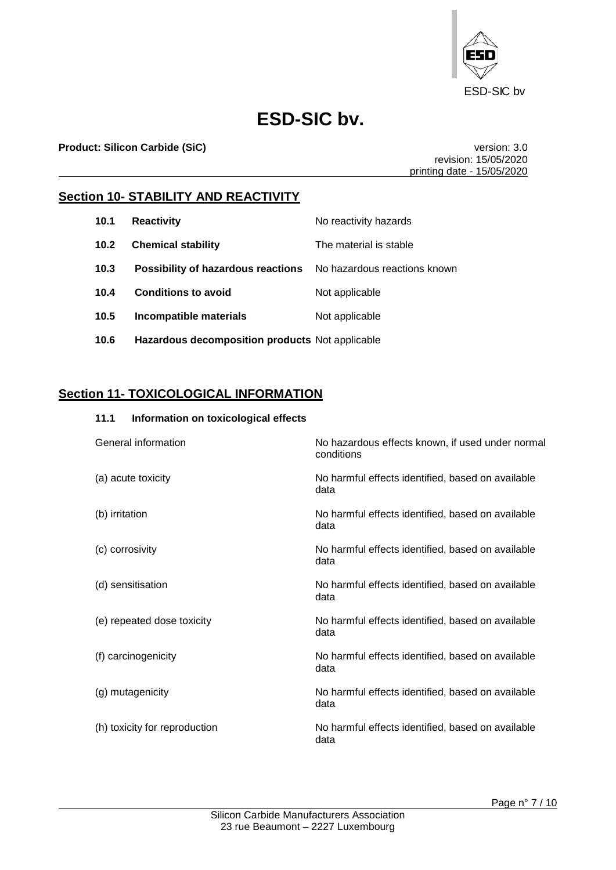

**Product: Silicon Carbide (SiC) version: 3.0** 

revision: 15/05/2020 printing date - 15/05/2020

## **Section 10- STABILITY AND REACTIVITY**

| 10.1              | <b>Reactivity</b>                                                      | No reactivity hazards  |
|-------------------|------------------------------------------------------------------------|------------------------|
| 10.2 <sub>1</sub> | <b>Chemical stability</b>                                              | The material is stable |
| 10.3              | <b>Possibility of hazardous reactions</b> No hazardous reactions known |                        |
| 10.4              | <b>Conditions to avoid</b>                                             | Not applicable         |
| 10.5              | Incompatible materials                                                 | Not applicable         |
| 10.6              | Hazardous decomposition products Not applicable                        |                        |

## **Section 11- TOXICOLOGICAL INFORMATION**

| 11.1<br>Information on toxicological effects |                                                                |
|----------------------------------------------|----------------------------------------------------------------|
| General information                          | No hazardous effects known, if used under normal<br>conditions |
| (a) acute toxicity                           | No harmful effects identified, based on available<br>data      |
| (b) irritation                               | No harmful effects identified, based on available<br>data      |
| (c) corrosivity                              | No harmful effects identified, based on available<br>data      |
| (d) sensitisation                            | No harmful effects identified, based on available<br>data      |
| (e) repeated dose toxicity                   | No harmful effects identified, based on available<br>data      |
| (f) carcinogenicity                          | No harmful effects identified, based on available<br>data      |
| (g) mutagenicity                             | No harmful effects identified, based on available<br>data      |
| (h) toxicity for reproduction                | No harmful effects identified, based on available<br>data      |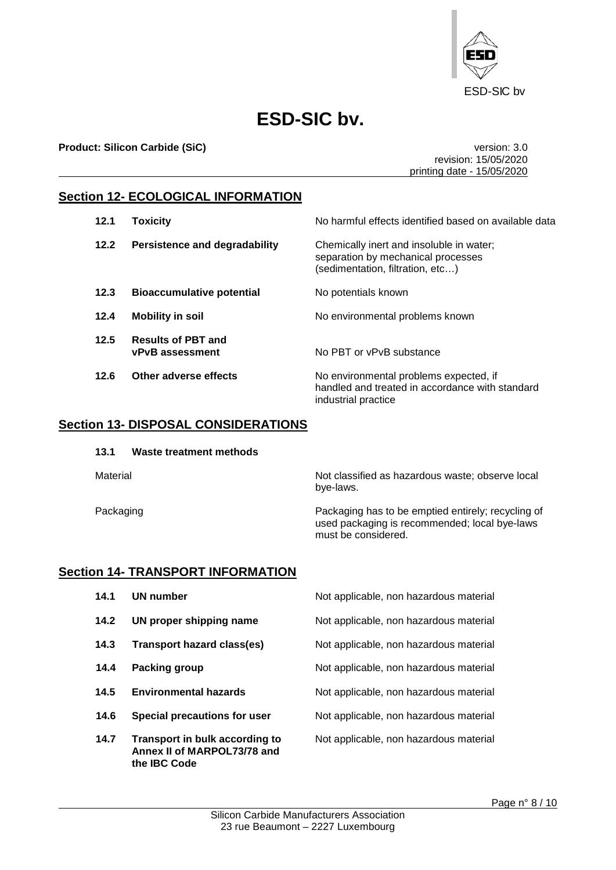

**Product: Silicon Carbide (SiC)** version: 3.0

revision: 15/05/2020 printing date - 15/05/2020

## **Section 12- ECOLOGICAL INFORMATION**

| 12.1 | <b>Toxicity</b>                                     | No harmful effects identified based on available data                                                              |
|------|-----------------------------------------------------|--------------------------------------------------------------------------------------------------------------------|
| 12.2 | Persistence and degradability                       | Chemically inert and insoluble in water;<br>separation by mechanical processes<br>(sedimentation, filtration, etc) |
| 12.3 | <b>Bioaccumulative potential</b>                    | No potentials known                                                                                                |
| 12.4 | <b>Mobility in soil</b>                             | No environmental problems known                                                                                    |
| 12.5 | <b>Results of PBT and</b><br><b>vPvB</b> assessment | No PBT or vPvB substance                                                                                           |
| 12.6 | Other adverse effects                               | No environmental problems expected, if<br>handled and treated in accordance with standard<br>industrial practice   |

### **Section 13- DISPOSAL CONSIDERATIONS**

| 13.1 | Waste treatment methods |
|------|-------------------------|
|------|-------------------------|

Material Material Not classified as hazardous waste; observe local bye-laws.

Packaging **Packaging has to be emptied entirely; recycling of** Packaging has to be emptied entirely; recycling of used packaging is recommended; local bye-laws must be considered.

### **Section 14- TRANSPORT INFORMATION**

**Annex II of MARPOL73/78 and** 

**the IBC Code**

**14.1 UN number** Not applicable, non hazardous material **14.2 UN proper shipping name** Not applicable, non hazardous material **14.3 Transport hazard class(es)** Not applicable, non hazardous material **14.4 Packing group** Not applicable, non hazardous material **14.5 Environmental hazards** Not applicable, non hazardous material **14.6 Special precautions for user** Not applicable, non hazardous material **14.7 Transport in bulk according to** Not applicable, non hazardous material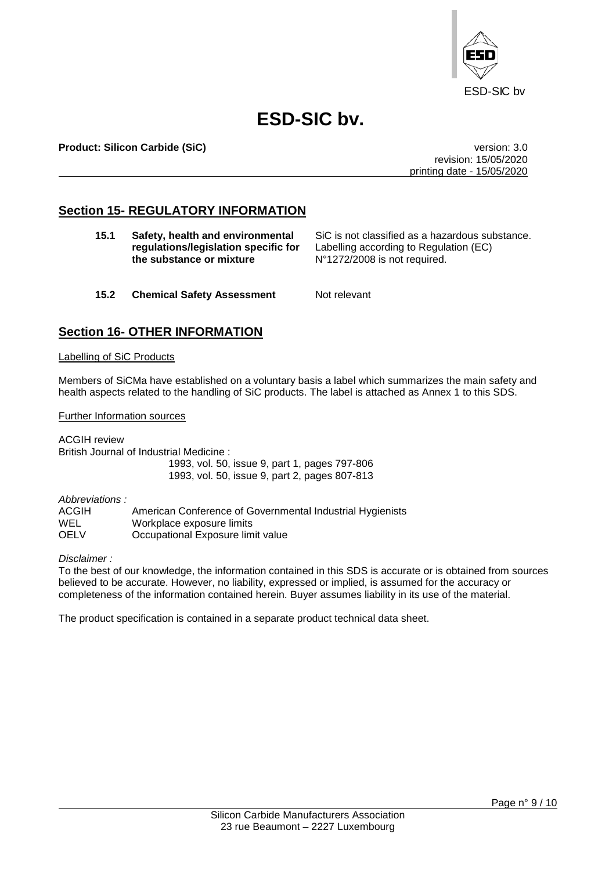

**Product: Silicon Carbide (SiC)** version: 3.0

revision: 15/05/2020 printing date - 15/05/2020

## **Section 15- REGULATORY INFORMATION**

| 15.1 | Safety, health and environmental<br>regulations/legislation specific for<br>the substance or mixture | SiC is not classified as a hazardous substance.<br>Labelling according to Regulation (EC)<br>N°1272/2008 is not required. |
|------|------------------------------------------------------------------------------------------------------|---------------------------------------------------------------------------------------------------------------------------|
| 15.2 | <b>Chemical Safety Assessment</b>                                                                    | Not relevant                                                                                                              |

## **Section 16- OTHER INFORMATION**

#### Labelling of SiC Products

Members of SiCMa have established on a voluntary basis a label which summarizes the main safety and health aspects related to the handling of SiC products. The label is attached as Annex 1 to this SDS.

Further Information sources

ACGIH review British Journal of Industrial Medicine : 1993, vol. 50, issue 9, part 1, pages 797-806 1993, vol. 50, issue 9, part 2, pages 807-813

*Abbreviations :*

ACGIH American Conference of Governmental Industrial Hygienists WEL Workplace exposure limits<br>
OFLY Cocupational Exposure lim Occupational Exposure limit value

*Disclaimer :*

To the best of our knowledge, the information contained in this SDS is accurate or is obtained from sources believed to be accurate. However, no liability, expressed or implied, is assumed for the accuracy or completeness of the information contained herein. Buyer assumes liability in its use of the material.

The product specification is contained in a separate product technical data sheet.